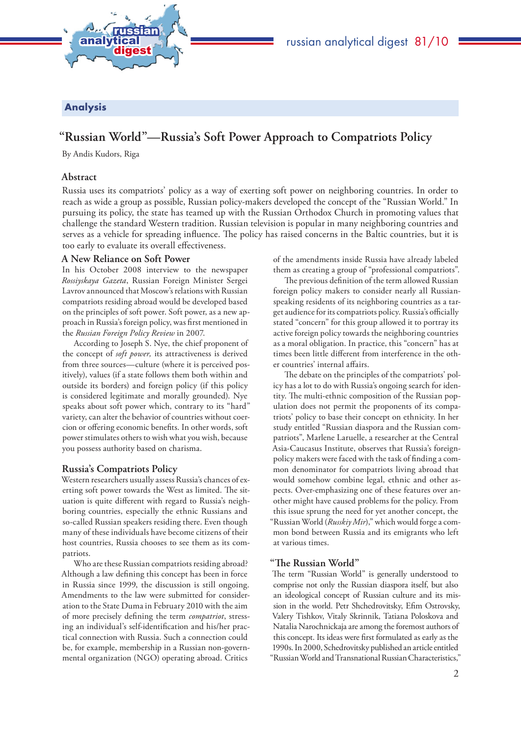

# Analysis

# **"Russian World"—Russia's Soft Power Approach to Compatriots Policy**

By Andis Kudors, Riga

### **Abstract**

Russia uses its compatriots' policy as a way of exerting soft power on neighboring countries. In order to reach as wide a group as possible, Russian policy-makers developed the concept of the "Russian World." In pursuing its policy, the state has teamed up with the Russian Orthodox Church in promoting values that challenge the standard Western tradition. Russian television is popular in many neighboring countries and serves as a vehicle for spreading influence. The policy has raised concerns in the Baltic countries, but it is too early to evaluate its overall effectiveness.

#### **A New Reliance on Soft Power**

In his October 2008 interview to the newspaper *Rossiyskaya Gazeta*, Russian Foreign Minister Sergei Lavrov announced that Moscow's relations with Russian compatriots residing abroad would be developed based on the principles of soft power. Soft power, as a new approach in Russia's foreign policy, was first mentioned in the *Russian Foreign Policy Review* in 2007.

According to Joseph S. Nye, the chief proponent of the concept of *soft power,* its attractiveness is derived from three sources—culture (where it is perceived positively), values (if a state follows them both within and outside its borders) and foreign policy (if this policy is considered legitimate and morally grounded). Nye speaks about soft power which, contrary to its "hard" variety, can alter the behavior of countries without coercion or offering economic benefits. In other words, soft power stimulates others to wish what you wish, because you possess authority based on charisma.

# **Russia's Compatriots Policy**

Western researchers usually assess Russia's chances of exerting soft power towards the West as limited. The situation is quite different with regard to Russia's neighboring countries, especially the ethnic Russians and so-called Russian speakers residing there. Even though many of these individuals have become citizens of their host countries, Russia chooses to see them as its compatriots.

Who are these Russian compatriots residing abroad? Although a law defining this concept has been in force in Russia since 1999, the discussion is still ongoing. Amendments to the law were submitted for consideration to the State Duma in February 2010 with the aim of more precisely defining the term *compatriot*, stressing an individual's self-identification and his/her practical connection with Russia. Such a connection could be, for example, membership in a Russian non-governmental organization (NGO) operating abroad. Critics

of the amendments inside Russia have already labeled them as creating a group of "professional compatriots".

The previous definition of the term allowed Russian foreign policy makers to consider nearly all Russianspeaking residents of its neighboring countries as a target audience for its compatriots policy. Russia's officially stated "concern" for this group allowed it to portray its active foreign policy towards the neighboring countries as a moral obligation. In practice, this "concern" has at times been little different from interference in the other countries' internal affairs.

The debate on the principles of the compatriots' policy has a lot to do with Russia's ongoing search for identity. The multi-ethnic composition of the Russian population does not permit the proponents of its compatriots' policy to base their concept on ethnicity. In her study entitled "Russian diaspora and the Russian compatriots", Marlene Laruelle, a researcher at the Central Asia-Caucasus Institute, observes that Russia's foreignpolicy makers were faced with the task of finding a common denominator for compatriots living abroad that would somehow combine legal, ethnic and other aspects. Over-emphasizing one of these features over another might have caused problems for the policy. From this issue sprung the need for yet another concept, the "Russian World (*Russkiy Mir*)," which would forge a common bond between Russia and its emigrants who left at various times.

## **"The Russian World"**

The term "Russian World" is generally understood to comprise not only the Russian diaspora itself, but also an ideological concept of Russian culture and its mission in the world. Petr Shchedrovitsky, Efim Ostrovsky, Valery Tishkov, Vitaly Skrinnik, Tatiana Poloskova and Natalia Narochnickaja are among the foremost authors of this concept. Its ideas were first formulated as early as the 1990s. In 2000, Schedrovitsky published an article entitled "Russian World and Transnational Russian Characteristics,"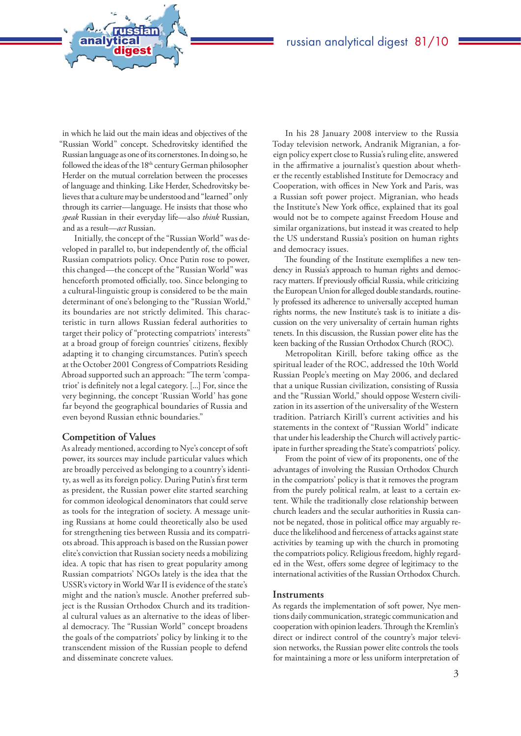in which he laid out the main ideas and objectives of the "Russian World" concept. Schedrovitsky identified the Russian language as one of its cornerstones. In doing so, he followed the ideas of the 18<sup>th</sup> century German philosopher Herder on the mutual correlation between the processes of language and thinking. Like Herder, Schedrovitsky believes that a culture may be understood and "learned" only through its carrier—language. He insists that those who *speak* Russian in their everyday life—also *think* Russian, and as a result—*act* Russian.

analytical<br>\_\_\_\_\_digest

russian

Initially, the concept of the "Russian World" was developed in parallel to, but independently of, the official Russian compatriots policy. Once Putin rose to power, this changed—the concept of the "Russian World" was henceforth promoted officially, too. Since belonging to a cultural-linguistic group is considered to be the main determinant of one's belonging to the "Russian World," its boundaries are not strictly delimited. This characteristic in turn allows Russian federal authorities to target their policy of "protecting compatriots' interests" at a broad group of foreign countries' citizens, flexibly adapting it to changing circumstances. Putin's speech at the October 2001 Congress of Compatriots Residing Abroad supported such an approach: "The term 'compatriot' is definitely not a legal category. [...] For, since the very beginning, the concept 'Russian World' has gone far beyond the geographical boundaries of Russia and even beyond Russian ethnic boundaries."

#### **Competition of Values**

As already mentioned, according to Nye's concept of soft power, its sources may include particular values which are broadly perceived as belonging to a country's identity, as well as its foreign policy. During Putin's first term as president, the Russian power elite started searching for common ideological denominators that could serve as tools for the integration of society. A message uniting Russians at home could theoretically also be used for strengthening ties between Russia and its compatriots abroad. This approach is based on the Russian power elite's conviction that Russian society needs a mobilizing idea. A topic that has risen to great popularity among Russian compatriots' NGOs lately is the idea that the USSR's victory in World War II is evidence of the state's might and the nation's muscle. Another preferred subject is the Russian Orthodox Church and its traditional cultural values as an alternative to the ideas of liberal democracy. The "Russian World" concept broadens the goals of the compatriots' policy by linking it to the transcendent mission of the Russian people to defend and disseminate concrete values.

In his 28 January 2008 interview to the Russia Today television network, Andranik Migranian, a foreign policy expert close to Russia's ruling elite, answered in the affirmative a journalist's question about whether the recently established Institute for Democracy and Cooperation, with offices in New York and Paris, was a Russian soft power project. Migranian, who heads the Institute's New York office, explained that its goal would not be to compete against Freedom House and similar organizations, but instead it was created to help the US understand Russia's position on human rights and democracy issues.

The founding of the Institute exemplifies a new tendency in Russia's approach to human rights and democracy matters. If previously official Russia, while criticizing the European Union for alleged double standards, routinely professed its adherence to universally accepted human rights norms, the new Institute's task is to initiate a discussion on the very universality of certain human rights tenets. In this discussion, the Russian power elite has the keen backing of the Russian Orthodox Church (ROC).

Metropolitan Kirill, before taking office as the spiritual leader of the ROC, addressed the 10th World Russian People's meeting on May 2006, and declared that a unique Russian civilization, consisting of Russia and the "Russian World," should oppose Western civilization in its assertion of the universality of the Western tradition. Patriarch Kirill's current activities and his statements in the context of "Russian World" indicate that under his leadership the Church will actively participate in further spreading the State's compatriots' policy.

From the point of view of its proponents, one of the advantages of involving the Russian Orthodox Church in the compatriots' policy is that it removes the program from the purely political realm, at least to a certain extent. While the traditionally close relationship between church leaders and the secular authorities in Russia cannot be negated, those in political office may arguably reduce the likelihood and fierceness of attacks against state activities by teaming up with the church in promoting the compatriots policy. Religious freedom, highly regarded in the West, offers some degree of legitimacy to the international activities of the Russian Orthodox Church.

#### **Instruments**

As regards the implementation of soft power, Nye mentions daily communication, strategic communication and cooperation with opinion leaders. Through the Kremlin's direct or indirect control of the country's major television networks, the Russian power elite controls the tools for maintaining a more or less uniform interpretation of